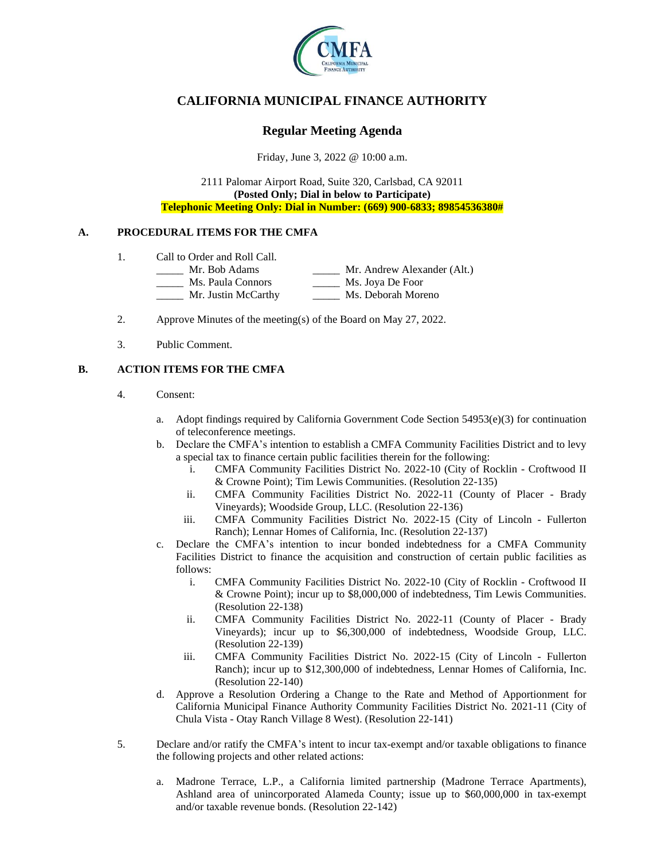

# **CALIFORNIA MUNICIPAL FINANCE AUTHORITY**

# **Regular Meeting Agenda**

Friday, June 3, 2022 @ 10:00 a.m.

2111 Palomar Airport Road, Suite 320, Carlsbad, CA 92011 **(Posted Only; Dial in below to Participate) Telephonic Meeting Only: Dial in Number: (669) 900-6833; 89854536380#**

## **A. PROCEDURAL ITEMS FOR THE CMFA**

- 1. Call to Order and Roll Call.
	- \_\_\_\_\_ Mr. Bob Adams \_\_\_\_\_ Mr. Andrew Alexander (Alt.)
		- \_\_\_\_\_ Ms. Paula Connors \_\_\_\_\_ Ms. Joya De Foor
		- Mr. Justin McCarthy Ms. Deborah Moreno
- 2. Approve Minutes of the meeting(s) of the Board on May 27, 2022.
- 3. Public Comment.

## **B. ACTION ITEMS FOR THE CMFA**

- 4. Consent:
	- a. Adopt findings required by California Government Code Section  $54953(e)(3)$  for continuation of teleconference meetings.
	- b. Declare the CMFA's intention to establish a CMFA Community Facilities District and to levy a special tax to finance certain public facilities therein for the following:
		- i. CMFA Community Facilities District No. 2022-10 (City of Rocklin Croftwood II & Crowne Point); Tim Lewis Communities. (Resolution 22-135)
		- ii. CMFA Community Facilities District No. 2022-11 (County of Placer Brady Vineyards); Woodside Group, LLC. (Resolution 22-136)
		- iii. CMFA Community Facilities District No. 2022-15 (City of Lincoln Fullerton Ranch); Lennar Homes of California, Inc. (Resolution 22-137)
	- c. Declare the CMFA's intention to incur bonded indebtedness for a CMFA Community Facilities District to finance the acquisition and construction of certain public facilities as follows:
		- i. CMFA Community Facilities District No. 2022-10 (City of Rocklin Croftwood II & Crowne Point); incur up to \$8,000,000 of indebtedness, Tim Lewis Communities. (Resolution 22-138)
		- ii. CMFA Community Facilities District No. 2022-11 (County of Placer Brady Vineyards); incur up to \$6,300,000 of indebtedness, Woodside Group, LLC. (Resolution 22-139)
		- iii. CMFA Community Facilities District No. 2022-15 (City of Lincoln Fullerton Ranch); incur up to \$12,300,000 of indebtedness, Lennar Homes of California, Inc. (Resolution 22-140)
	- d. Approve a Resolution Ordering a Change to the Rate and Method of Apportionment for California Municipal Finance Authority Community Facilities District No. 2021-11 (City of Chula Vista - Otay Ranch Village 8 West). (Resolution 22-141)
- 5. Declare and/or ratify the CMFA's intent to incur tax-exempt and/or taxable obligations to finance the following projects and other related actions:
	- a. Madrone Terrace, L.P., a California limited partnership (Madrone Terrace Apartments), Ashland area of unincorporated Alameda County; issue up to \$60,000,000 in tax-exempt and/or taxable revenue bonds. (Resolution 22-142)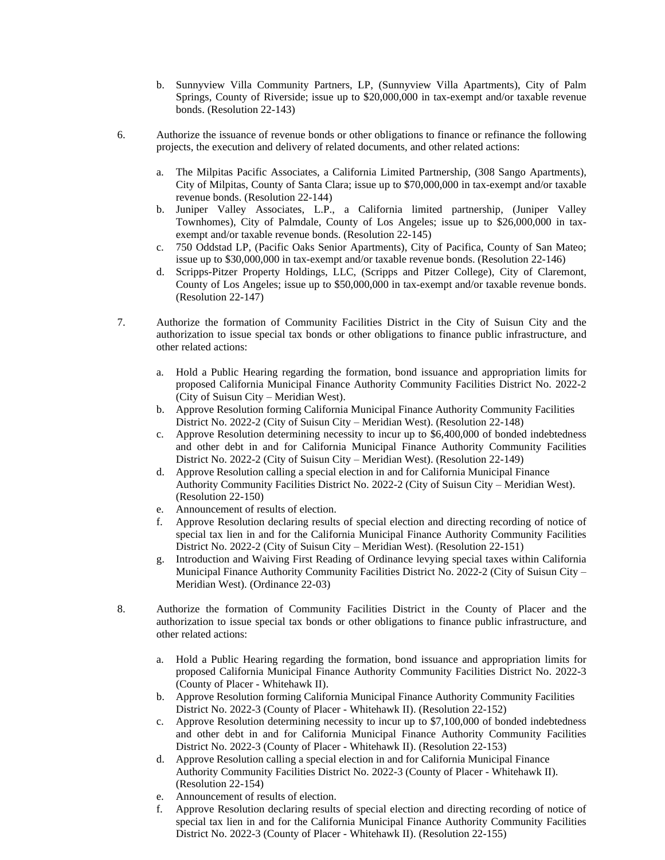- b. Sunnyview Villa Community Partners, LP, (Sunnyview Villa Apartments), City of Palm Springs, County of Riverside; issue up to \$20,000,000 in tax-exempt and/or taxable revenue bonds. (Resolution 22-143)
- 6. Authorize the issuance of revenue bonds or other obligations to finance or refinance the following projects, the execution and delivery of related documents, and other related actions:
	- a. The Milpitas Pacific Associates, a California Limited Partnership, (308 Sango Apartments), City of Milpitas, County of Santa Clara; issue up to \$70,000,000 in tax-exempt and/or taxable revenue bonds. (Resolution 22-144)
	- b. Juniper Valley Associates, L.P., a California limited partnership, (Juniper Valley Townhomes), City of Palmdale, County of Los Angeles; issue up to \$26,000,000 in taxexempt and/or taxable revenue bonds. (Resolution 22-145)
	- c. 750 Oddstad LP, (Pacific Oaks Senior Apartments), City of Pacifica, County of San Mateo; issue up to \$30,000,000 in tax-exempt and/or taxable revenue bonds. (Resolution 22-146)
	- d. Scripps-Pitzer Property Holdings, LLC, (Scripps and Pitzer College), City of Claremont, County of Los Angeles; issue up to \$50,000,000 in tax-exempt and/or taxable revenue bonds. (Resolution 22-147)
- 7. Authorize the formation of Community Facilities District in the City of Suisun City and the authorization to issue special tax bonds or other obligations to finance public infrastructure, and other related actions:
	- a. Hold a Public Hearing regarding the formation, bond issuance and appropriation limits for proposed California Municipal Finance Authority Community Facilities District No. 2022-2 (City of Suisun City – Meridian West).
	- b. Approve Resolution forming California Municipal Finance Authority Community Facilities District No. 2022-2 (City of Suisun City – Meridian West). (Resolution 22-148)
	- c. Approve Resolution determining necessity to incur up to \$6,400,000 of bonded indebtedness and other debt in and for California Municipal Finance Authority Community Facilities District No. 2022-2 (City of Suisun City – Meridian West). (Resolution 22-149)
	- d. Approve Resolution calling a special election in and for California Municipal Finance Authority Community Facilities District No. 2022-2 (City of Suisun City – Meridian West). (Resolution 22-150)
	- e. Announcement of results of election.
	- f. Approve Resolution declaring results of special election and directing recording of notice of special tax lien in and for the California Municipal Finance Authority Community Facilities District No. 2022-2 (City of Suisun City – Meridian West). (Resolution 22-151)
	- g. Introduction and Waiving First Reading of Ordinance levying special taxes within California Municipal Finance Authority Community Facilities District No. 2022-2 (City of Suisun City – Meridian West). (Ordinance 22-03)
- 8. Authorize the formation of Community Facilities District in the County of Placer and the authorization to issue special tax bonds or other obligations to finance public infrastructure, and other related actions:
	- a. Hold a Public Hearing regarding the formation, bond issuance and appropriation limits for proposed California Municipal Finance Authority Community Facilities District No. 2022-3 (County of Placer - Whitehawk II).
	- b. Approve Resolution forming California Municipal Finance Authority Community Facilities District No. 2022-3 (County of Placer - Whitehawk II). (Resolution 22-152)
	- c. Approve Resolution determining necessity to incur up to \$7,100,000 of bonded indebtedness and other debt in and for California Municipal Finance Authority Community Facilities District No. 2022-3 (County of Placer - Whitehawk II). (Resolution 22-153)
	- d. Approve Resolution calling a special election in and for California Municipal Finance Authority Community Facilities District No. 2022-3 (County of Placer - Whitehawk II). (Resolution 22-154)
	- e. Announcement of results of election.
	- f. Approve Resolution declaring results of special election and directing recording of notice of special tax lien in and for the California Municipal Finance Authority Community Facilities District No. 2022-3 (County of Placer - Whitehawk II). (Resolution 22-155)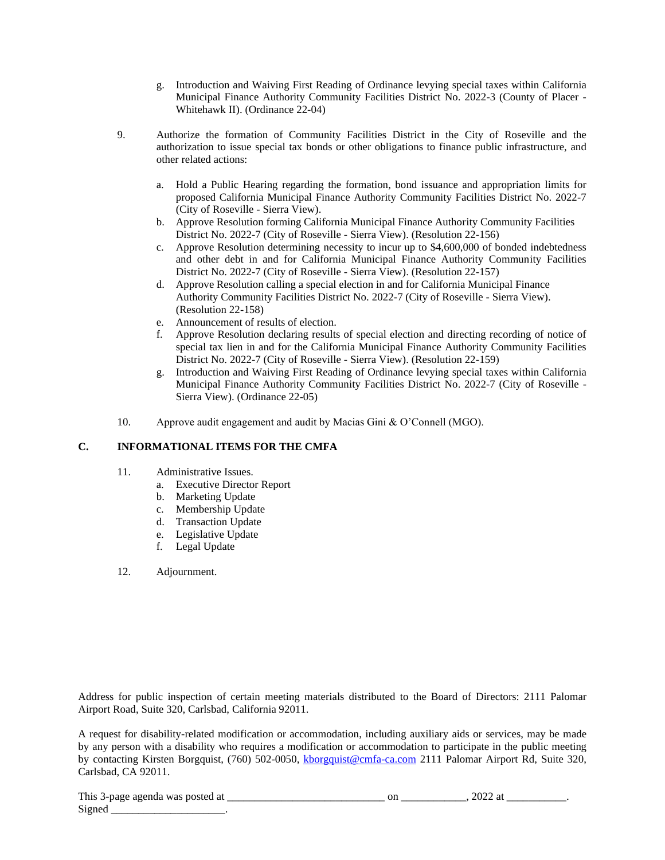- g. Introduction and Waiving First Reading of Ordinance levying special taxes within California Municipal Finance Authority Community Facilities District No. 2022-3 (County of Placer - Whitehawk II). (Ordinance 22-04)
- 9. Authorize the formation of Community Facilities District in the City of Roseville and the authorization to issue special tax bonds or other obligations to finance public infrastructure, and other related actions:
	- a. Hold a Public Hearing regarding the formation, bond issuance and appropriation limits for proposed California Municipal Finance Authority Community Facilities District No. 2022-7 (City of Roseville - Sierra View).
	- b. Approve Resolution forming California Municipal Finance Authority Community Facilities District No. 2022-7 (City of Roseville - Sierra View). (Resolution 22-156)
	- c. Approve Resolution determining necessity to incur up to \$4,600,000 of bonded indebtedness and other debt in and for California Municipal Finance Authority Community Facilities District No. 2022-7 (City of Roseville - Sierra View). (Resolution 22-157)
	- d. Approve Resolution calling a special election in and for California Municipal Finance Authority Community Facilities District No. 2022-7 (City of Roseville - Sierra View). (Resolution 22-158)
	- e. Announcement of results of election.
	- f. Approve Resolution declaring results of special election and directing recording of notice of special tax lien in and for the California Municipal Finance Authority Community Facilities District No. 2022-7 (City of Roseville - Sierra View). (Resolution 22-159)
	- g. Introduction and Waiving First Reading of Ordinance levying special taxes within California Municipal Finance Authority Community Facilities District No. 2022-7 (City of Roseville - Sierra View). (Ordinance 22-05)
- 10. Approve audit engagement and audit by Macias Gini & O'Connell (MGO).

## **C. INFORMATIONAL ITEMS FOR THE CMFA**

- 11. Administrative Issues.
	- a. Executive Director Report
	- b. Marketing Update
	- c. Membership Update
	- d. Transaction Update
	- e. Legislative Update
	- f. Legal Update

## 12. Adjournment.

Address for public inspection of certain meeting materials distributed to the Board of Directors: 2111 Palomar Airport Road, Suite 320, Carlsbad, California 92011.

A request for disability-related modification or accommodation, including auxiliary aids or services, may be made by any person with a disability who requires a modification or accommodation to participate in the public meeting by contacting Kirsten Borgquist, (760) 502-0050, [kborgquist@cmfa-ca.com](mailto:kborgquist@cmfa-ca.com) 2111 Palomar Airport Rd, Suite 320, Carlsbad, CA 92011.

| This<br>was<br>าเ<br>арешта<br>. ∍-пяо⊢∶<br>.<br>.<br>. . | or<br>______ | ----<br>--<br>.<br>_______ |  |
|-----------------------------------------------------------|--------------|----------------------------|--|
| $\sim$<br>$\sqrt{10}$<br>~                                |              |                            |  |